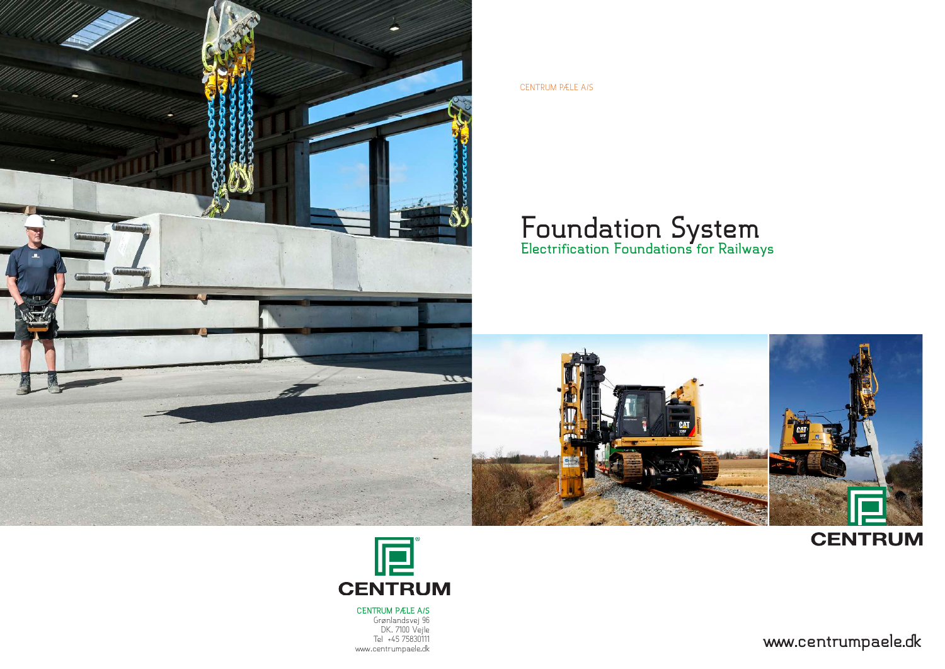## **Foundation System Electrification Foundations for Railways**

**CENTRUM PÆLE A/S** Grønlandsvej 96 DK. 7100 Vejle Tel +45 75830111 www.centrumpaele.dk







www.centrumpaele.dk



CENTRUM PÆLE A/S